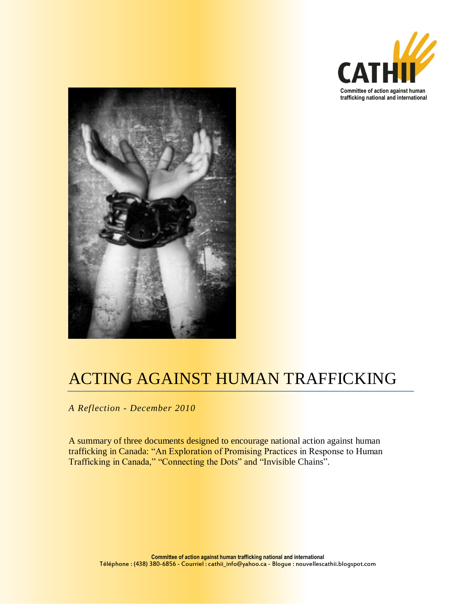



# ACTING AGAINST HUMAN TRAFFICKING

*A Reflection - December 2010*

A summary of three documents designed to encourage national action against human trafficking in Canada: "An Exploration of Promising Practices in Response to Human Trafficking in Canada," "Connecting the Dots" and "Invisible Chains".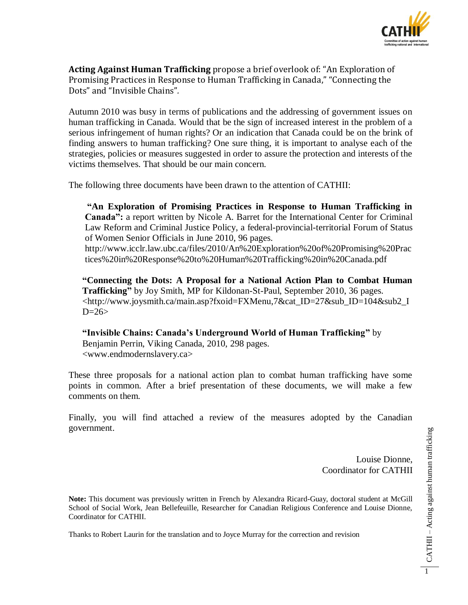

**Acting Against Human Trafficking** propose a brief overlook of: "An Exploration of Promising Practices in Response to Human Trafficking in Canada," "Connecting the Dots" and "Invisible Chains"*.*

Autumn 2010 was busy in terms of publications and the addressing of government issues on human trafficking in Canada. Would that be the sign of increased interest in the problem of a serious infringement of human rights? Or an indication that Canada could be on the brink of finding answers to human trafficking? One sure thing, it is important to analyse each of the strategies, policies or measures suggested in order to assure the protection and interests of the victims themselves. That should be our main concern.

The following three documents have been drawn to the attention of CATHII:

**"An Exploration of Promising Practices in Response to Human Trafficking in Canada":** a report written by Nicole A. Barret for the International Center for Criminal Law Reform and Criminal Justice Policy, a federal-provincial-territorial Forum of Status of Women Senior Officials in June 2010, 96 pages. http://www.icclr.law.ubc.ca/files/2010/An%20Exploration%20of%20Promising%20Prac

tices%20in%20Response%20to%20Human%20Trafficking%20in%20Canada.pdf

**"Connecting the Dots: A Proposal for a National Action Plan to Combat Human Trafficking"** by Joy Smith, MP for Kildonan-St-Paul, September 2010, 36 pages. <http://www.joysmith.ca/main.asp?fxoid=FXMenu,7&cat\_ID=27&sub\_ID=104&sub2\_I  $D=26$ 

**"Invisible Chains: Canada's Underground World of Human Trafficking"** by Benjamin Perrin, Viking Canada, 2010, 298 pages. <www.endmodernslavery.ca>

These three proposals for a national action plan to combat human trafficking have some points in common. After a brief presentation of these documents, we will make a few comments on them.

Finally, you will find attached a review of the measures adopted by the Canadian government.

> Louise Dionne, Coordinator for CATHII

**Note:** This document was previously written in French by Alexandra Ricard-Guay, doctoral student at McGill School of Social Work, Jean Bellefeuille, Researcher for Canadian Religious Conference and Louise Dionne, Coordinator for CATHII.

Thanks to Robert Laurin for the translation and to Joyce Murray for the correction and revision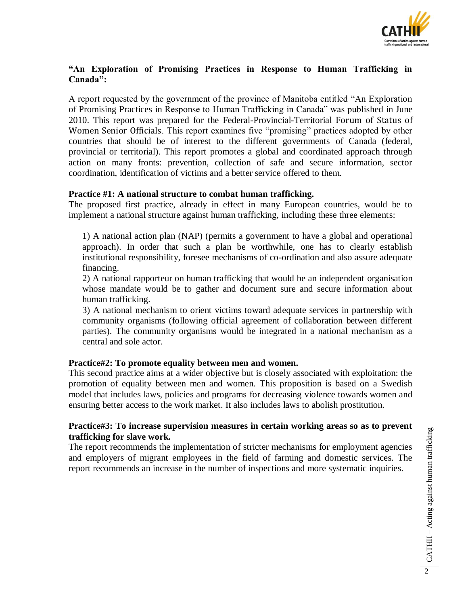

# **"An Exploration of Promising Practices in Response to Human Trafficking in Canada":**

A report requested by the government of the province of Manitoba entitled "An Exploration of Promising Practices in Response to Human Trafficking in Canada" was published in June 2010. This report was prepared for the Federal-Provincial-Territorial Forum of Status of Women Senior Officials. This report examines five "promising" practices adopted by other countries that should be of interest to the different governments of Canada (federal, provincial or territorial). This report promotes a global and coordinated approach through action on many fronts: prevention, collection of safe and secure information, sector coordination, identification of victims and a better service offered to them.

## **Practice #1: A national structure to combat human trafficking.**

The proposed first practice, already in effect in many European countries, would be to implement a national structure against human trafficking, including these three elements:

1) A national action plan (NAP) (permits a government to have a global and operational approach). In order that such a plan be worthwhile, one has to clearly establish institutional responsibility, foresee mechanisms of co-ordination and also assure adequate financing.

2) A national rapporteur on human trafficking that would be an independent organisation whose mandate would be to gather and document sure and secure information about human trafficking.

3) A national mechanism to orient victims toward adequate services in partnership with community organisms (following official agreement of collaboration between different parties). The community organisms would be integrated in a national mechanism as a central and sole actor.

# **Practice#2: To promote equality between men and women.**

This second practice aims at a wider objective but is closely associated with exploitation: the promotion of equality between men and women. This proposition is based on a Swedish model that includes laws, policies and programs for decreasing violence towards women and ensuring better access to the work market. It also includes laws to abolish prostitution.

# **Practice#3: To increase supervision measures in certain working areas so as to prevent trafficking for slave work.**

The report recommends the implementation of stricter mechanisms for employment agencies and employers of migrant employees in the field of farming and domestic services. The report recommends an increase in the number of inspections and more systematic inquiries.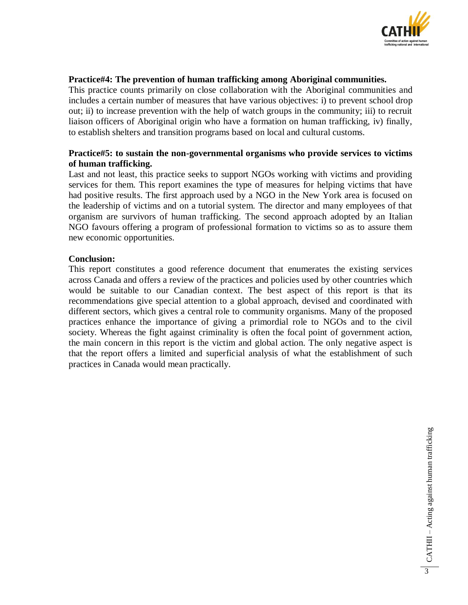

## **Practice#4: The prevention of human trafficking among Aboriginal communities.**

This practice counts primarily on close collaboration with the Aboriginal communities and includes a certain number of measures that have various objectives: i) to prevent school drop out; ii) to increase prevention with the help of watch groups in the community; iii) to recruit liaison officers of Aboriginal origin who have a formation on human trafficking, iv) finally, to establish shelters and transition programs based on local and cultural customs.

## **Practice#5: to sustain the non-governmental organisms who provide services to victims of human trafficking.**

Last and not least, this practice seeks to support NGOs working with victims and providing services for them. This report examines the type of measures for helping victims that have had positive results. The first approach used by a NGO in the New York area is focused on the leadership of victims and on a tutorial system. The director and many employees of that organism are survivors of human trafficking. The second approach adopted by an Italian NGO favours offering a program of professional formation to victims so as to assure them new economic opportunities.

## **Conclusion:**

This report constitutes a good reference document that enumerates the existing services across Canada and offers a review of the practices and policies used by other countries which would be suitable to our Canadian context. The best aspect of this report is that its recommendations give special attention to a global approach, devised and coordinated with different sectors, which gives a central role to community organisms. Many of the proposed practices enhance the importance of giving a primordial role to NGOs and to the civil society. Whereas the fight against criminality is often the focal point of government action, the main concern in this report is the victim and global action. The only negative aspect is that the report offers a limited and superficial analysis of what the establishment of such practices in Canada would mean practically.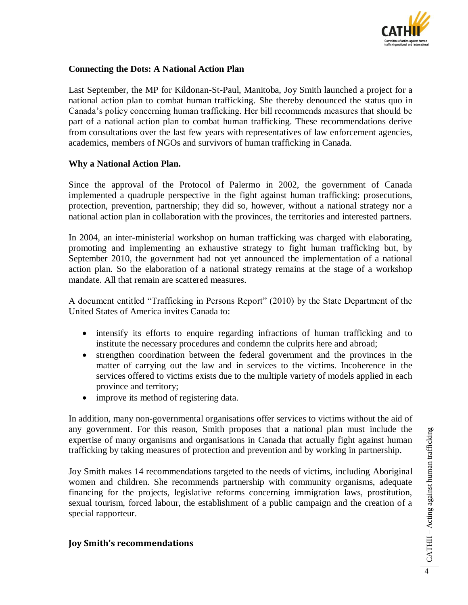

## **Connecting the Dots: A National Action Plan**

Last September, the MP for Kildonan-St-Paul, Manitoba, Joy Smith launched a project for a national action plan to combat human trafficking. She thereby denounced the status quo in Canada's policy concerning human trafficking. Her bill recommends measures that should be part of a national action plan to combat human trafficking. These recommendations derive from consultations over the last few years with representatives of law enforcement agencies, academics, members of NGOs and survivors of human trafficking in Canada.

#### **Why a National Action Plan.**

Since the approval of the Protocol of Palermo in 2002, the government of Canada implemented a quadruple perspective in the fight against human trafficking: prosecutions, protection, prevention, partnership; they did so, however, without a national strategy nor a national action plan in collaboration with the provinces, the territories and interested partners.

In 2004, an inter-ministerial workshop on human trafficking was charged with elaborating, promoting and implementing an exhaustive strategy to fight human trafficking but, by September 2010, the government had not yet announced the implementation of a national action plan. So the elaboration of a national strategy remains at the stage of a workshop mandate. All that remain are scattered measures.

A document entitled "Trafficking in Persons Report" (2010) by the State Department of the United States of America invites Canada to:

- intensify its efforts to enquire regarding infractions of human trafficking and to institute the necessary procedures and condemn the culprits here and abroad;
- strengthen coordination between the federal government and the provinces in the matter of carrying out the law and in services to the victims. Incoherence in the services offered to victims exists due to the multiple variety of models applied in each province and territory;
- improve its method of registering data.

In addition, many non-governmental organisations offer services to victims without the aid of any government. For this reason, Smith proposes that a national plan must include the expertise of many organisms and organisations in Canada that actually fight against human trafficking by taking measures of protection and prevention and by working in partnership.

Joy Smith makes 14 recommendations targeted to the needs of victims, including Aboriginal women and children. She recommends partnership with community organisms, adequate financing for the projects, legislative reforms concerning immigration laws, prostitution, sexual tourism, forced labour, the establishment of a public campaign and the creation of a special rapporteur.

# **Joy Smith's recommendations**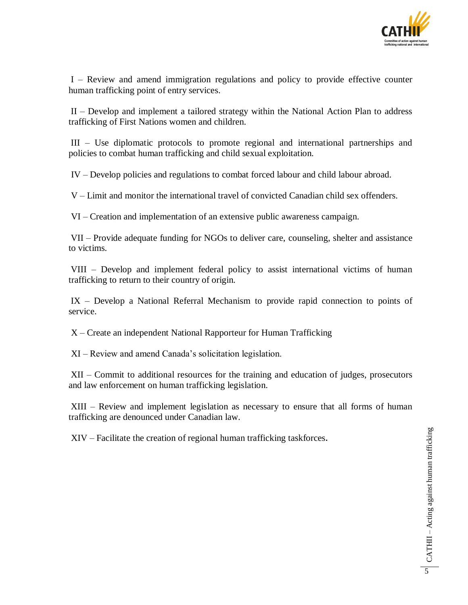

I – Review and amend immigration regulations and policy to provide effective counter human trafficking point of entry services.

II – Develop and implement a tailored strategy within the National Action Plan to address trafficking of First Nations women and children.

III – Use diplomatic protocols to promote regional and international partnerships and policies to combat human trafficking and child sexual exploitation.

IV – Develop policies and regulations to combat forced labour and child labour abroad.

V – Limit and monitor the international travel of convicted Canadian child sex offenders.

VI – Creation and implementation of an extensive public awareness campaign.

VII – Provide adequate funding for NGOs to deliver care, counseling, shelter and assistance to victims.

VIII – Develop and implement federal policy to assist international victims of human trafficking to return to their country of origin.

IX – Develop a National Referral Mechanism to provide rapid connection to points of service.

X – Create an independent National Rapporteur for Human Trafficking

XI – Review and amend Canada's solicitation legislation.

XII – Commit to additional resources for the training and education of judges, prosecutors and law enforcement on human trafficking legislation.

XIII – Review and implement legislation as necessary to ensure that all forms of human trafficking are denounced under Canadian law.

XIV – Facilitate the creation of regional human trafficking taskforces**.**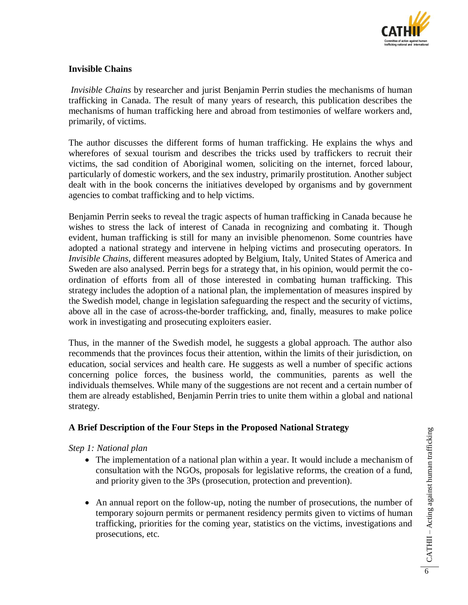

# **Invisible Chains**

*Invisible Chains* by researcher and jurist Benjamin Perrin studies the mechanisms of human trafficking in Canada. The result of many years of research, this publication describes the mechanisms of human trafficking here and abroad from testimonies of welfare workers and, primarily, of victims.

The author discusses the different forms of human trafficking. He explains the whys and wherefores of sexual tourism and describes the tricks used by traffickers to recruit their victims, the sad condition of Aboriginal women, soliciting on the internet, forced labour, particularly of domestic workers, and the sex industry, primarily prostitution. Another subject dealt with in the book concerns the initiatives developed by organisms and by government agencies to combat trafficking and to help victims.

Benjamin Perrin seeks to reveal the tragic aspects of human trafficking in Canada because he wishes to stress the lack of interest of Canada in recognizing and combating it. Though evident, human trafficking is still for many an invisible phenomenon. Some countries have adopted a national strategy and intervene in helping victims and prosecuting operators. In *Invisible Chains*, different measures adopted by Belgium, Italy, United States of America and Sweden are also analysed. Perrin begs for a strategy that, in his opinion, would permit the coordination of efforts from all of those interested in combating human trafficking. This strategy includes the adoption of a national plan, the implementation of measures inspired by the Swedish model, change in legislation safeguarding the respect and the security of victims, above all in the case of across-the-border trafficking, and, finally, measures to make police work in investigating and prosecuting exploiters easier.

Thus, in the manner of the Swedish model, he suggests a global approach. The author also recommends that the provinces focus their attention, within the limits of their jurisdiction, on education, social services and health care. He suggests as well a number of specific actions concerning police forces, the business world, the communities, parents as well the individuals themselves. While many of the suggestions are not recent and a certain number of them are already established, Benjamin Perrin tries to unite them within a global and national strategy.

# **A Brief Description of the Four Steps in the Proposed National Strategy**

#### *Step 1: National plan*

- The implementation of a national plan within a year. It would include a mechanism of consultation with the NGOs, proposals for legislative reforms, the creation of a fund, and priority given to the 3Ps (prosecution, protection and prevention).
- An annual report on the follow-up, noting the number of prosecutions, the number of temporary sojourn permits or permanent residency permits given to victims of human trafficking, priorities for the coming year, statistics on the victims, investigations and prosecutions, etc.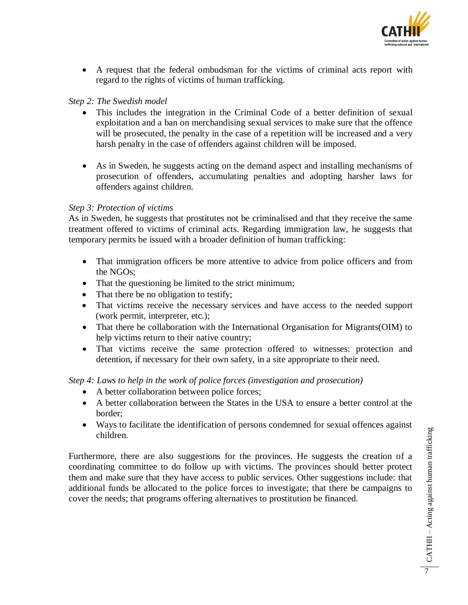

 A request that the federal ombudsman for the victims of criminal acts report with regard to the rights of victims of human trafficking.

# *Step 2: The Swedish model*

- This includes the integration in the Criminal Code of a better definition of sexual exploitation and a ban on merchandising sexual services to make sure that the offence will be prosecuted, the penalty in the case of a repetition will be increased and a very harsh penalty in the case of offenders against children will be imposed.
- As in Sweden, he suggests acting on the demand aspect and installing mechanisms of prosecution of offenders, accumulating penalties and adopting harsher laws for offenders against children.

## *Step 3: Protection of victims*

As in Sweden, he suggests that prostitutes not be criminalised and that they receive the same treatment offered to victims of criminal acts. Regarding immigration law, he suggests that temporary permits be issued with a broader definition of human trafficking:

- That immigration officers be more attentive to advice from police officers and from the NGOs;
- That the questioning be limited to the strict minimum;
- That there be no obligation to testify;
- That victims receive the necessary services and have access to the needed support (work permit, interpreter, etc.);
- That there be collaboration with the International Organisation for Migrants(OIM) to help victims return to their native country;
- That victims receive the same protection offered to witnesses: protection and detention, if necessary for their own safety, in a site appropriate to their need.

# *Step 4: Laws to help in the work of police forces (investigation and prosecution)*

- A better collaboration between police forces;
- A better collaboration between the States in the USA to ensure a better control at the border;
- Ways to facilitate the identification of persons condemned for sexual offences against children.

Furthermore, there are also suggestions for the provinces. He suggests the creation of a coordinating committee to do follow up with victims. The provinces should better protect them and make sure that they have access to public services. Other suggestions include: that additional funds be allocated to the police forces to investigate; that there be campaigns to cover the needs; that programs offering alternatives to prostitution be financed.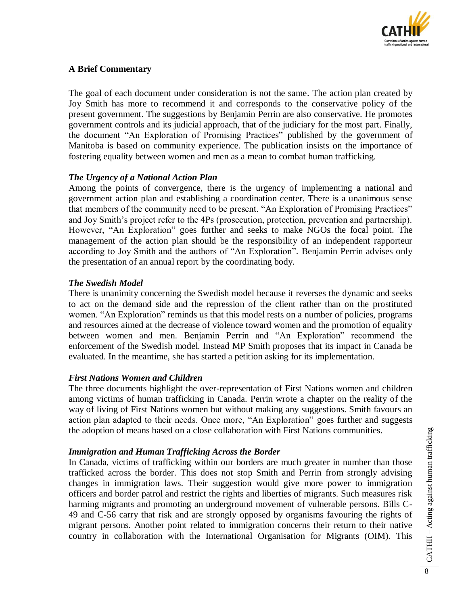

# **A Brief Commentary**

The goal of each document under consideration is not the same. The action plan created by Joy Smith has more to recommend it and corresponds to the conservative policy of the present government. The suggestions by Benjamin Perrin are also conservative. He promotes government controls and its judicial approach, that of the judiciary for the most part. Finally, the document "An Exploration of Promising Practices" published by the government of Manitoba is based on community experience. The publication insists on the importance of fostering equality between women and men as a mean to combat human trafficking.

# *The Urgency of a National Action Plan*

Among the points of convergence, there is the urgency of implementing a national and government action plan and establishing a coordination center. There is a unanimous sense that members of the community need to be present. "An Exploration of Promising Practices" and Joy Smith's project refer to the 4Ps (prosecution, protection, prevention and partnership). However, "An Exploration" goes further and seeks to make NGOs the focal point. The management of the action plan should be the responsibility of an independent rapporteur according to Joy Smith and the authors of "An Exploration"*.* Benjamin Perrin advises only the presentation of an annual report by the coordinating body.

## *The Swedish Model*

There is unanimity concerning the Swedish model because it reverses the dynamic and seeks to act on the demand side and the repression of the client rather than on the prostituted women. "An Exploration" reminds us that this model rests on a number of policies, programs and resources aimed at the decrease of violence toward women and the promotion of equality between women and men. Benjamin Perrin and "An Exploration" recommend the enforcement of the Swedish model. Instead MP Smith proposes that its impact in Canada be evaluated. In the meantime, she has started a petition asking for its implementation.

# *First Nations Women and Children*

The three documents highlight the over-representation of First Nations women and children among victims of human trafficking in Canada. Perrin wrote a chapter on the reality of the way of living of First Nations women but without making any suggestions. Smith favours an action plan adapted to their needs. Once more, "An Exploration" goes further and suggests the adoption of means based on a close collaboration with First Nations communities.

# *Immigration and Human Trafficking Across the Border*

In Canada, victims of trafficking within our borders are much greater in number than those trafficked across the border. This does not stop Smith and Perrin from strongly advising changes in immigration laws. Their suggestion would give more power to immigration officers and border patrol and restrict the rights and liberties of migrants. Such measures risk harming migrants and promoting an underground movement of vulnerable persons. Bills C-49 and C-56 carry that risk and are strongly opposed by organisms favouring the rights of migrant persons. Another point related to immigration concerns their return to their native country in collaboration with the International Organisation for Migrants (OIM). This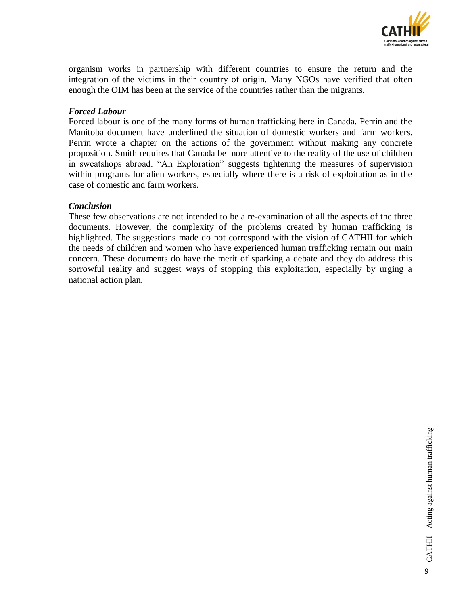

organism works in partnership with different countries to ensure the return and the integration of the victims in their country of origin. Many NGOs have verified that often enough the OIM has been at the service of the countries rather than the migrants.

## *Forced Labour*

Forced labour is one of the many forms of human trafficking here in Canada. Perrin and the Manitoba document have underlined the situation of domestic workers and farm workers. Perrin wrote a chapter on the actions of the government without making any concrete proposition. Smith requires that Canada be more attentive to the reality of the use of children in sweatshops abroad. "An Exploration" suggests tightening the measures of supervision within programs for alien workers, especially where there is a risk of exploitation as in the case of domestic and farm workers.

## *Conclusion*

These few observations are not intended to be a re-examination of all the aspects of the three documents. However, the complexity of the problems created by human trafficking is highlighted. The suggestions made do not correspond with the vision of CATHII for which the needs of children and women who have experienced human trafficking remain our main concern. These documents do have the merit of sparking a debate and they do address this sorrowful reality and suggest ways of stopping this exploitation, especially by urging a national action plan.